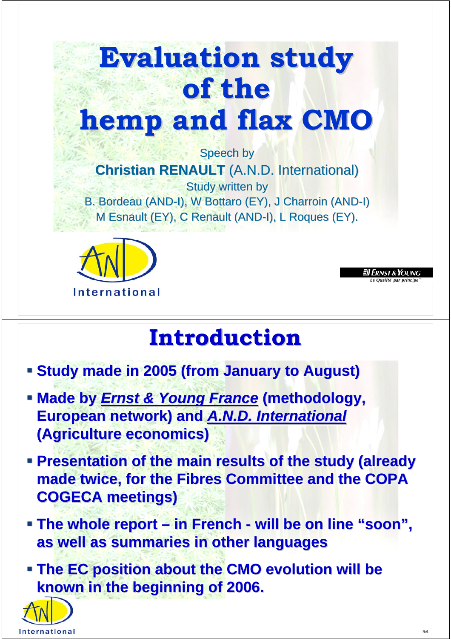

**International** 

## **Introduction Introduction**

- **Study made in 2005 (from January to August)**
- **Example By Figure & Young France (methodology,**  $\blacksquare$ **European network) and <b>A.N.D. International (Agriculture economics) (Agriculture economics) (Agriculture economics)**
- **Presentation of the main results of the study (already** made twice, for the Fibres Committee and the COPA<br>COGECA meetings) **COGECA meetings)**
- **Figure 1 The whole report in French will be on line "soon", as well as summaries in other languages as well as summaries in other languages as well as summaries in other languages**
- **The EC position about the CMO evolution will be known in the beginning of 2006. known in the beginning of 2006. known in the beginning of 2006.**



.<br>Qualité par princi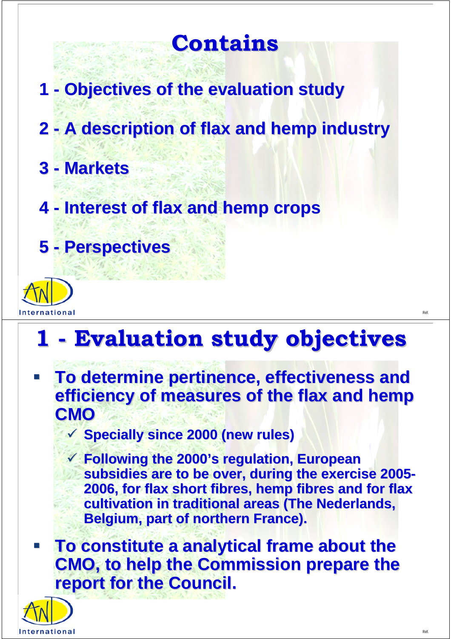### **Contains Contains**

- **1 Objectives of the evaluation study**
- **2 A description of flax and hemp industry 2 - A description of flax and hemp industry flax and hemp industry**
- **3 Markets 3 - Markets**
- **4 Interest of flax and hemp crops 4 - Interest of flax and hemp crops Interest of flax and hemp crops**
- **5 Perspectives 5 - Perspectives Perspectives**



## **1 - Evaluation study objectives - Evaluation study objectives Evaluation study objectives**

- **To determine pertinence, effectiveness and To determine pertinence, effectiveness and efficiency of measures of the flax and hemp efficiency of measures of the flax and hemp CMO** 
	- 9 **Specially since 2000 (new rules) Specially since 2000 (new rules)**
	- 9 **Following the 2000's regulation, European Following the 2000's regulation, European subsidies are to be over, during the exercise 2005-2006, for flax short fibres, hemp fibres and for flax 2006, for flax short fibres, hemp fibres and for flax cultivation in traditional areas (The Nederlands, Belgium, part of northern France).**
- **To constitute a analytical frame about the CMO, to help the Commission prepare the report for the Council.**

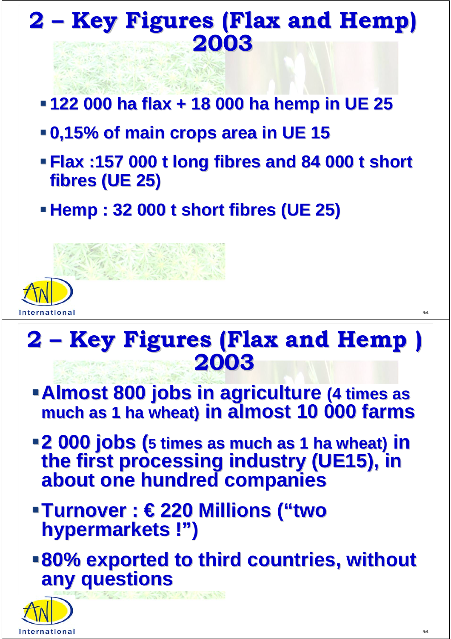# **2 – Key Figures (Flax and Hemp) 2 – Key Figures (Flax and Hemp) 2003 2003**

- **122 000 ha flax + 18 000 ha hemp in UE 25 122 000 ha flax + 18 000 ha hemp in UE 25 122 000 ha flax + 18 000 ha hemp in UE 25**
- **0,15% of main crops area in UE 15 0,15% of main crops area in UE 15 0,15% of main crops area in UE 15**
- **Flax :157 000 t long fibres and 84 000 t short Flax :157 000 t long fibres and 84 000 t short Flax :157 000 t long fibres and 84 000 t short fibres (UE 25) fibres (UE 25) fibres (UE 25)**
- **Hemp : 32 000 t short fibres (UE 25)**



## **2 – Key Figures (Flax and Hemp ) 2 – Key Figures (Flax and Hemp ) 2003 2003**

- **Almost 800 jobs in agriculture (4 times as much as 1 ha wheat) in almost 10 000 farms much as 1 ha wheat) much as 1 ha wheat) in almost 10 000 farms in almost 10 000 farms**
- **2 000 jobs (5 times as much as 1 ha wheat) in 2 000 jobs ( 2 000 jobs (5 times as much as 1 ha wheat) times as much as 1 ha wheat) in the first processing industry (UE15), in the first processing industry (UE15), in the first processing industry (UE15), in about one hundred companies about one hundred companies about one hundred companies**
- **Turnover : € 220 Millions ("two Turnover : € 220 Millions ("two Turnover : € 220 Millions ("two hypermarkets !") hypermarkets !") hypermarkets !")**
- **80% exported to third countries, without 80% exported to third countries, without 80% exported to third countries, without any questions any questionsany questions**

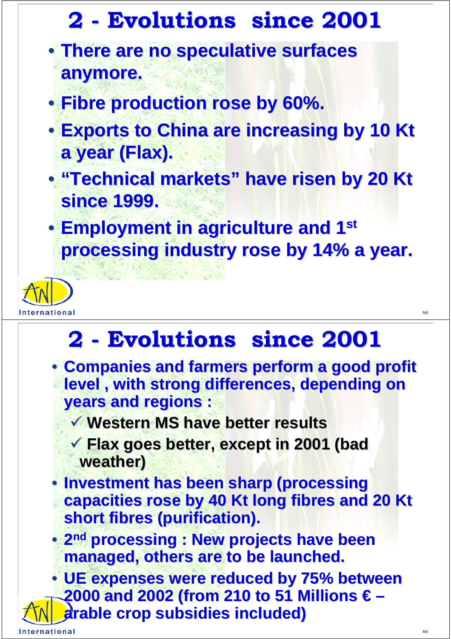# **2 - Evolutions since 2001 - Evolutions since 2001 2001**

- **There are no speculative surfaces There are no speculative surfaces There are no speculative surfaces anymore. anymore. anymore.**
- **Fibre production rose by 60%.**
- Exports to China are increasing by 10 Kt a year (Flax). **a year (Flax).**
- **"Technical markets" have risen by 20 Kt since 1999. since 1999. since 1999.**
- **Employment in agriculture and 1st processing industry rose by 14% a year. processing industry rose by 14% a year. processing industry rose by 14% a year.**



# **2 - Evolutions since 2001 - Evolutions since 2001 Evolutions since 2001**

**• Companies and farmers perform a good profit level , with strong differences, depending on level , with strong differences, depending on level , with strong differences, depending on years and regions : years and regions : years and regions :**

9 **Western MS have better results** 9 **Western MS have better results Western MS have better results**

**✔ Flax goes better, except in 2001 (bad weather) weather)**

**• Investment has been sharp (processing capacities rose by 40 Kt long fibres and 20 Kt capacities rose by 40 Kt long fibres and 20 Kt capacities rose by 40 Kt long fibres and 20 Kt short fibres (purification).** 

• 2<sup>nd</sup> processing : New projects have been<br>managed, others are to be launched. **managed, others are to be launched.**

**• UE expenses were reduced by 75% between 2000 and 2002 (from 210 to 51 Millions € – 2000 and 2002 (from 210 to 51 Millions € 2000 and 2002 (from 210 to 51 Millions € – arable crop subsidies included) arable crop subsidies included) arable crop subsidies included)**

International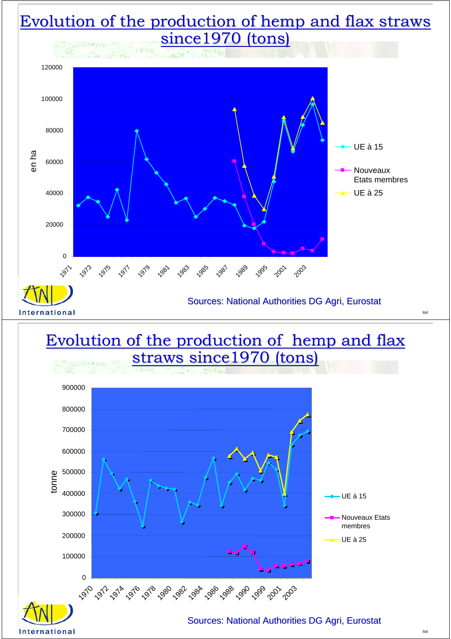#### Evolution of the production of hemp and flax straws since1970 (tons)



#### Evolution of the production of hemp and flax straws since1970 (tons)



rnational

Sources: National Authorities DG Agri, Eurostat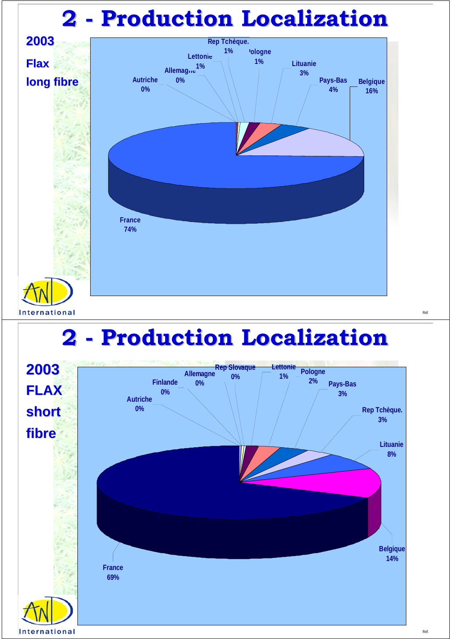## **2 - Production Localization - Production Localization**



### **2 - Production Localization - Production Localization**

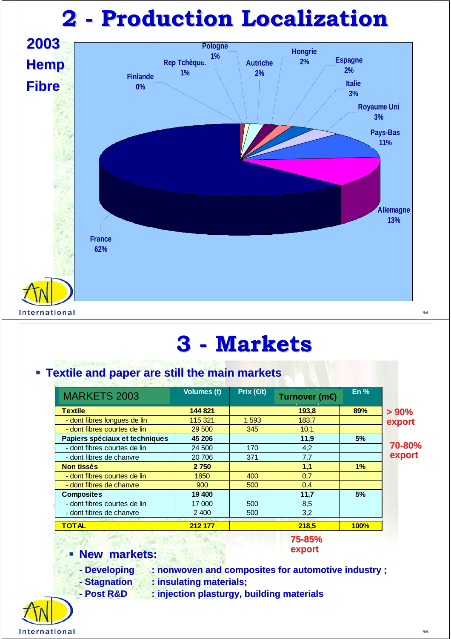# **2 - Production Localization - Production Localization**



#### **3 - Markets - Markets Markets**

#### **Textile and paper are still the main markets**

| <b>MARKETS 2003</b>                                                           | <b>Volumes (t)</b>                      | Prix $(4t)$ | Turnover (m€       | En $%$ |                                        |              |         |  |       |      |  |
|-------------------------------------------------------------------------------|-----------------------------------------|-------------|--------------------|--------|----------------------------------------|--------------|---------|--|-------|------|--|
| <b>Textile</b>                                                                | 144 821                                 |             | 193,8              | 89%    | $> 90\%$<br>export<br>70-80%<br>export |              |         |  |       |      |  |
| - dont fibres longues de lin                                                  | 115 321                                 | 1 593       | 183.7              |        |                                        |              |         |  |       |      |  |
| - dont fibres courtes de lin                                                  | 29 500                                  | 345         | 10,1               |        |                                        |              |         |  |       |      |  |
| Papiers spéciaux et techniques                                                | 45 206                                  |             | 11,9               | 5%     |                                        |              |         |  |       |      |  |
| - dont fibres courtes de lin                                                  | 24 500                                  | 170         | 4,2                |        |                                        |              |         |  |       |      |  |
| - dont fibres de chanvre                                                      | 371<br>20 706<br>2 7 5 0<br>1850<br>400 |             | 7,7<br>1,1<br>0,7  | 1%     |                                        |              |         |  |       |      |  |
| <b>Non tissés</b>                                                             |                                         |             |                    |        |                                        |              |         |  |       |      |  |
| - dont fibres courtes de lin                                                  |                                         |             |                    |        |                                        |              |         |  |       |      |  |
| - dont fibres de chanvre                                                      | 900                                     | 500         | 0,4                |        |                                        |              |         |  |       |      |  |
| <b>Composites</b><br>- dont fibres courtes de lin<br>- dont fibres de chanvre | 19 400<br>17 000<br>2 4 0 0             | 500<br>500  | 11,7<br>8,5<br>3,2 | 5%     |                                        |              |         |  |       |      |  |
|                                                                               |                                         |             |                    |        |                                        | <b>TOTAL</b> | 212 177 |  | 218.5 | 100% |  |

#### **75-85% 75-85% export export**

#### **New markets: New markets: New markets:**

- **Peveloping : nonwoven and composites for automotive industry ;**
- **Finding Stagnation Stagnation : insulating materials;**
- **Post R&D : injection plasturgy, building materials - Post R&D R&D : injection : injection plasturgy, building materials**

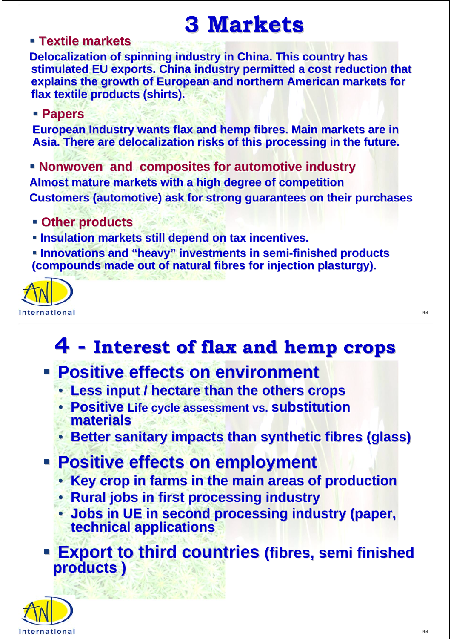## **3 Markets 3 Markets**

#### **Textile markets**

**Delocalization of spinning industry in China. This country has** stimulated EU exports. China industry permitted a cost reduction that **explains the growth of European and northern American markets for explains the growth of European and northern American markets fo explains the growth of European and northern American markets for flax textile products (shirts). flax textile products (shirts). flax textile products (shirts).**

#### **Papers Papers**

**European Industry wants flax and hemp fibres. Main markets are in** Asia. There are delocalization risks of this processing in the future.

**Ronwoven and composites for automotive industry Almost mature markets with a high degree of competition Almost mature markets with a high degree of competition Almost mature markets with a high degree of competition Customers (automotive) ask for strong guarantees on their purchases** 

- **Other products Other products products**
- *Insulation markets still depend on tax incentives.*
- **EXIDES 19 Innovations and "heavy" investments in semi-finished products in semi-finished products (compounds made out of natural fibres for injection plasturgy).**



#### **4 - Interest of flax and hemp crops Interest of flax and hemp crops Interest of flax and hemp crops**

- **Positive effects on environment** 
	- **Less input / hectare than the others crops**
	- **Positive Life cycle assessment vs. Substitution materials materials materials**
	- **Better sanitary impacts than synthetic fibres (glass) Better sanitary impacts than synthetic fibres (glass) Better sanitary impacts than synthetic fibres (glass)**
- **Positive effects on employment** 
	- **Key crop in farms in the main areas of production Key crop in farms in the main areas of production Key crop in farms in the main areas of production**
	- **Rural jobs in first processing industry**
	- **Jobs in UE in second processing industry (paper, technical applications technical applications technical applications**
- **Export to third countries (fibres, semi finished products ) products ) products )**